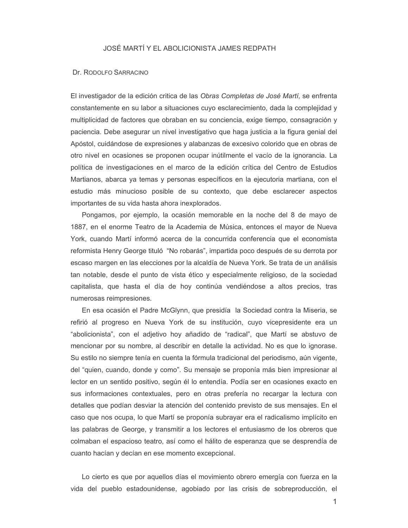## JOSÉ MARTÍ Y EL ABOLICIONISTA JAMES REDPATH

## Dr. RODOLFO SARRACINO

El investigador de la edición critica de las Obras Completas de José Martí, se enfrenta constantemente en su labor a situaciones cuyo esclarecimiento, dada la complejidad y multiplicidad de factores que obraban en su conciencia, exige tiempo, consagración y paciencia. Debe asegurar un nivel investigativo que haga justicia a la figura genial del Apóstol, cuidándose de expresiones y alabanzas de excesivo colorido que en obras de otro nivel en ocasiones se proponen ocupar inútilmente el vacío de la ignorancia. La política de investigaciones en el marco de la edición crítica del Centro de Estudios Martianos, abarca ya temas y personas específicos en la ejecutoria martiana, con el estudio más minucioso posible de su contexto, que debe esclarecer aspectos importantes de su vida hasta ahora inexplorados.

Pongamos, por ejemplo, la ocasión memorable en la noche del 8 de mayo de 1887, en el enorme Teatro de la Academia de Música, entonces el mayor de Nueva York, cuando Martí informó acerca de la concurrida conferencia que el economista reformista Henry George tituló "No robarás", impartida poco después de su derrota por escaso margen en las elecciones por la alcaldía de Nueva York. Se trata de un análisis tan notable, desde el punto de vista ético y especialmente religioso, de la sociedad capitalista, que hasta el día de hoy continúa vendiéndose a altos precios, tras numerosas reimpresiones.

En esa ocasión el Padre McGlynn, que presidía la Sociedad contra la Miseria, se refirió al progreso en Nueva York de su institución, cuyo vicepresidente era un "abolicionista", con el adjetivo hoy añadido de "radical", que Martí se abstuvo de mencionar por su nombre, al describir en detalle la actividad. No es que lo ignorase. Su estilo no siempre tenía en cuenta la fórmula tradicional del periodismo, aún vigente, del "quien, cuando, donde y como". Su mensaje se proponía más bien impresionar al lector en un sentido positivo, según él lo entendía. Podía ser en ocasiones exacto en sus informaciones contextuales, pero en otras prefería no recargar la lectura con detalles que podían desviar la atención del contenido previsto de sus mensajes. En el caso que nos ocupa, lo que Martí se proponía subrayar era el radicalismo implícito en las palabras de George, y transmitir a los lectores el entusiasmo de los obreros que colmaban el espacioso teatro, así como el hálito de esperanza que se desprendía de cuanto hacían y decían en ese momento excepcional.

Lo cierto es que por aquellos días el movimiento obrero emergía con fuerza en la vida del pueblo estadounidense, agobiado por las crisis de sobreproducción, el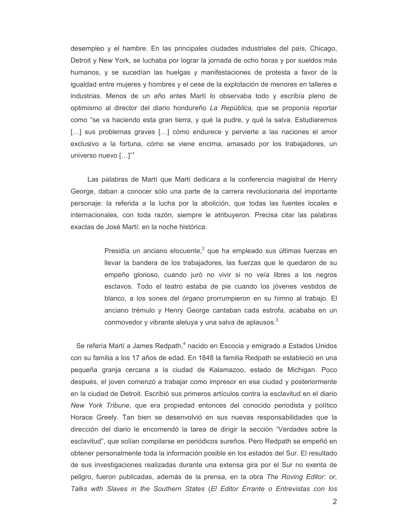desempleo y el hambre. En las principales ciudades industriales del país, Chicago, Detroit y New York, se luchaba por lograr la jornada de ocho horas y por sueldos más humanos, y se sucedían las huelgas y manifestaciones de protesta a favor de la igualdad entre mujeres y hombres y el cese de la explotación de menores en talleres e industrias. Menos de un año antes Martí lo observaba todo y escribía pleno de optimismo al director del diario hondureño La República, que se proponía reportar como "se va haciendo esta gran tierra, y qué la pudre, y qué la salva. Estudiaremos [...] sus problemas graves [...] cómo endurece y pervierte a las naciones el amor exclusivo a la fortuna, cómo se viene encima, amasado por los trabajadores, un universo nuevo  $[...]$ <sup>"1</sup>

Las palabras de Martí que Martí dedicara a la conferencia magistral de Henry George, daban a conocer sólo una parte de la carrera revolucionaria del importante personaje: la referida a la lucha por la abolición, que todas las fuentes locales e internacionales, con toda razón, siempre le atribuyeron. Precisa citar las palabras exactas de José Martí: en la noche histórica:

> Presidía un anciano elocuente,<sup>2</sup> que ha empleado sus últimas fuerzas en llevar la bandera de los trabajadores, las fuerzas que le quedaron de su empeño glorioso, cuando juró no vivir si no veía libres a los negros esclavos. Todo el teatro estaba de pie cuando los jóvenes vestidos de blanco, a los sones del órgano prorrumpieron en su himno al trabajo. El anciano trémulo y Henry George cantaban cada estrofa, acababa en un conmovedor y vibrante aleluya y una salva de aplausos. $3$

Se refería Martí a James Redpath,<sup>4</sup> nacido en Escocia y emigrado a Estados Unidos con su familia a los 17 años de edad. En 1848 la familia Redpath se estableció en una pequeña granja cercana a la ciudad de Kalamazoo, estado de Michigan. Poco después, el joven comenzó a trabajar como impresor en esa ciudad y posteriormente en la ciudad de Detroit. Escribió sus primeros artículos contra la esclavitud en el diario New York Tribune, que era propiedad entonces del conocido periodista y político Horace Greely. Tan bien se desenvolvió en sus nuevas responsabilidades que la dirección del diario le encomendó la tarea de dirigir la sección "Verdades sobre la esclavitud", que solían compilarse en periódicos sureños. Pero Redpath se empeñó en obtener personalmente toda la información posible en los estados del Sur. El resultado de sus investigaciones realizadas durante una extensa gira por el Sur no exenta de peligro, fueron publicadas, además de la prensa, en la obra The Roving Editor: or, Talks with Slaves in the Southern States (El Editor Errante o Entrevistas con los

 $\overline{2}$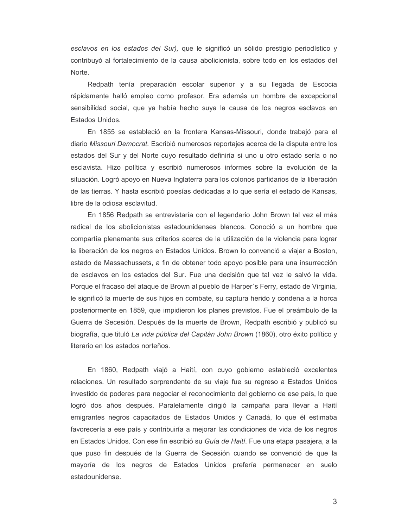esclavos en los estados del Sur), que le significó un sólido prestigio periodístico y contribuyó al fortalecimiento de la causa abolicionista, sobre todo en los estados del Norte.

Redpath tenía preparación escolar superior y a su llegada de Escocia rápidamente halló empleo como profesor. Era además un hombre de excepcional sensibilidad social, que ya había hecho suya la causa de los negros esclavos en Estados Unidos.

En 1855 se estableció en la frontera Kansas-Missouri, donde trabajó para el diario Missouri Democrat. Escribió numerosos reportajes acerca de la disputa entre los estados del Sur y del Norte cuyo resultado definiría si uno u otro estado sería o no esclavista. Hizo política y escribió numerosos informes sobre la evolución de la situación. Logró apoyo en Nueva Inglaterra para los colonos partidarios de la liberación de las tierras. Y hasta escribió poesías dedicadas a lo que sería el estado de Kansas, libre de la odiosa esclavitud.

En 1856 Redpath se entrevistaría con el legendario John Brown tal vez el más radical de los abolicionistas estadounidenses blancos. Conoció a un hombre que compartía plenamente sus criterios acerca de la utilización de la violencia para lograr la liberación de los negros en Estados Unidos. Brown lo convenció a viajar a Boston, estado de Massachussets, a fin de obtener todo apoyo posible para una insurrección de esclavos en los estados del Sur. Fue una decisión que tal vez le salvó la vida. Porque el fracaso del ataque de Brown al pueblo de Harper's Ferry, estado de Virginia, le significó la muerte de sus hijos en combate, su captura herido y condena a la horca posteriormente en 1859, que impidieron los planes previstos. Fue el preámbulo de la Guerra de Secesión. Después de la muerte de Brown, Redpath escribió y publicó su biografía, que tituló La vida pública del Capitán John Brown (1860), otro éxito político y literario en los estados norteños.

En 1860, Redpath viajó a Haití, con cuyo gobierno estableció excelentes relaciones. Un resultado sorprendente de su viaje fue su regreso a Estados Unidos investido de poderes para negociar el reconocimiento del gobierno de ese país, lo que logró dos años después. Paralelamente dirigió la campaña para llevar a Haití emigrantes negros capacitados de Estados Unidos y Canadá, lo que él estimaba favorecería a ese país y contribuiría a mejorar las condiciones de vida de los negros en Estados Unidos. Con ese fin escribió su Guía de Haití. Fue una etapa pasajera, a la que puso fin después de la Guerra de Secesión cuando se convenció de que la mayoría de los negros de Estados Unidos prefería permanecer en suelo estadounidense.

3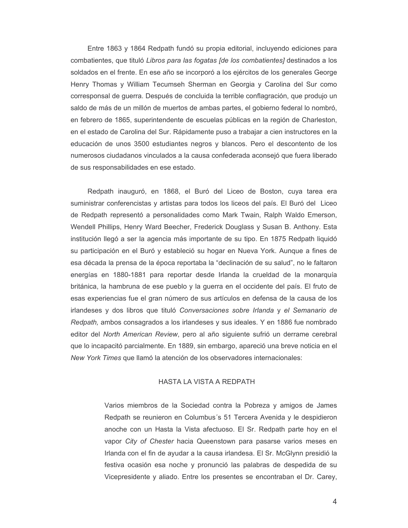Entre 1863 y 1864 Redpath fundó su propia editorial, incluyendo ediciones para combatientes, que tituló Libros para las fogatas [de los combatientes] destinados a los soldados en el frente. En ese año se incorporó a los ejércitos de los generales George Henry Thomas y William Tecumseh Sherman en Georgia y Carolina del Sur como corresponsal de guerra. Después de concluida la terrible conflagración, que produjo un saldo de más de un millón de muertos de ambas partes, el gobierno federal lo nombró, en febrero de 1865, superintendente de escuelas públicas en la región de Charleston, en el estado de Carolina del Sur. Rápidamente puso a trabajar a cien instructores en la educación de unos 3500 estudiantes negros y blancos. Pero el descontento de los numerosos ciudadanos vinculados a la causa confederada aconsejó que fuera liberado de sus responsabilidades en ese estado.

Redpath inauguró, en 1868, el Buró del Liceo de Boston, cuya tarea era suministrar conferencistas y artistas para todos los liceos del país. El Buró del Liceo de Redpath representó a personalidades como Mark Twain, Ralph Waldo Emerson, Wendell Phillips, Henry Ward Beecher, Frederick Douglass y Susan B. Anthony. Esta institución llegó a ser la agencia más importante de su tipo. En 1875 Redpath liquidó su participación en el Buró y estableció su hogar en Nueva York. Aunque a fines de esa década la prensa de la época reportaba la "declinación de su salud", no le faltaron energías en 1880-1881 para reportar desde Irlanda la crueldad de la monarquía británica, la hambruna de ese pueblo y la guerra en el occidente del país. El fruto de esas experiencias fue el gran número de sus artículos en defensa de la causa de los irlandeses y dos libros que tituló Conversaciones sobre Irlanda y el Semanario de Redpath, ambos consagrados a los irlandeses y sus ideales. Y en 1886 fue nombrado editor del North American Review, pero al año siguiente sufrió un derrame cerebral que lo incapacitó parcialmente. En 1889, sin embargo, apareció una breve noticia en el New York Times que llamó la atención de los observadores internacionales:

## HASTA LA VISTA A REDPATH

Varios miembros de la Sociedad contra la Pobreza y amigos de James Redpath se reunieron en Columbus's 51 Tercera Avenida y le despidieron anoche con un Hasta la Vista afectuoso. El Sr. Redpath parte hoy en el vapor City of Chester hacia Queenstown para pasarse varios meses en Irlanda con el fin de ayudar a la causa irlandesa. El Sr. McGlynn presidió la festiva ocasión esa noche y pronunció las palabras de despedida de su Vicepresidente y aliado. Entre los presentes se encontraban el Dr. Carey,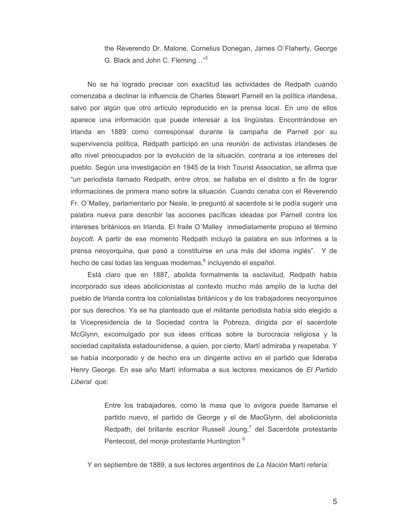the Reverendo Dr. Malone, Cornelius Donegan, James O'Flaherty, George G. Black and John C. Fleming..."<sup>5</sup>

No se ha logrado precisar con exactitud las actividades de Redpath cuando comenzaba a declinar la influencia de Charles Stewart Parnell en la política irlandesa, salvo por algún que otro artículo reproducido en la prensa local. En uno de ellos aparece una información que puede interesar a los lingüistas. Encontrándose en Irlanda en 1889 como corresponsal durante la campaña de Parnell por su supervivencia política, Redpath participó en una reunión de activistas irlandeses de alto nivel preocupados por la evolución de la situación, contraria a los intereses del pueblo. Según una investigación en 1945 de la Irish Tourist Association, se afirma que "un periodista llamado Redpath, entre otros, se hallaba en el distrito a fin de lograr informaciones de primera mano sobre la situación. Cuando cenaba con el Reverendo Fr. O'Malley, parlamentario por Neale, le preguntó al sacerdote si le podía sugerir una palabra nueva para describir las acciones pacíficas ideadas por Parnell contra los intereses británicos en Irlanda. El fraile O'Malley inmediatamente propuso el término boycott. A partir de ese momento Redpath incluyó la palabra en sus informes a la prensa neovorguina, que pasó a constituirse en una más del idioma inglés". Y de hecho de casi todas las lenguas modernas,<sup>6</sup> incluyendo el español.

Está claro que en 1887, abolida formalmente la esclavitud, Redpath había incorporado sus ideas abolicionistas al contexto mucho más amplio de la lucha del pueblo de Irlanda contra los colonialistas británicos y de los trabajadores neoyorquinos por sus derechos. Ya se ha planteado que el militante periodista había sido elegido a la Vicepresidencia de la Sociedad contra la Pobreza, dirigida por el sacerdote McGlynn, excomulgado por sus ideas críticas sobre la burocracia religiosa y la sociedad capitalista estadounidense, a quien, por cierto, Martí admiraba y respetaba. Y se había incorporado y de hecho era un dirigente activo en el partido que lideraba Henry George. En ese año Martí informaba a sus lectores mexicanos de El Partido Liberal que:

> Entre los trabajadores, como la masa que lo avigora puede llamarse el partido nuevo, el partido de George y el de MacGlynn, del abolicionista Redpath, del brillante escritor Russell Joung,<sup>7</sup> del Sacerdote protestante Pentecost, del monie protestante Huntington <sup>8</sup>

Y en septiembre de 1889, a sus lectores argentinos de La Nación Martí refería:

5